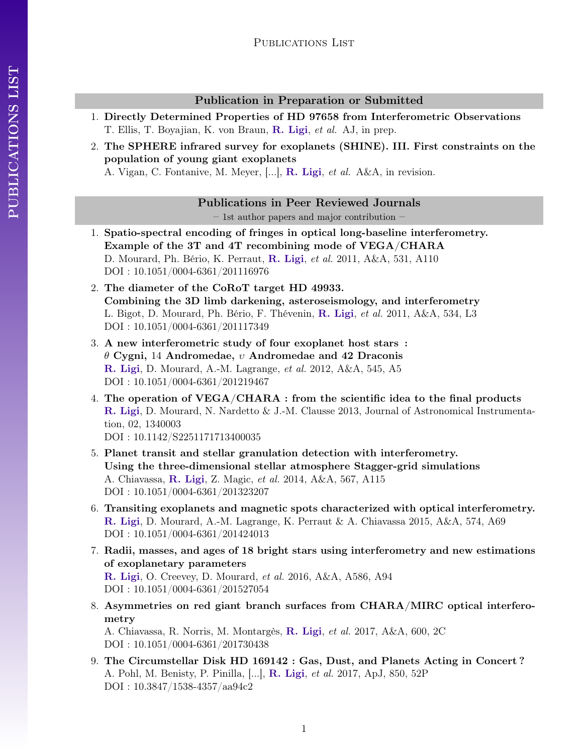# Publication in Preparation or Submitted

- 1. Directly Determined Properties of HD 97658 from Interferometric Observations T. Ellis, T. Boyajian, K. von Braun, R. Ligi, et al. AJ, in prep.
- 2. The SPHERE infrared survey for exoplanets (SHINE). III. First constraints on the population of young giant exoplanets

A. Vigan, C. Fontanive, M. Meyer, [...], R. Ligi, et al. A&A, in revision.

Publications in Peer Reviewed Journals

– 1st author papers and major contribution –

- 1. Spatio-spectral encoding of fringes in optical long-baseline interferometry. Example of the 3T and 4T recombining mode of VEGA/CHARA D. Mourard, Ph. Bério, K. Perraut, R. Ligi, et al. 2011, A&A, 531, A110 DOI : 10.1051/0004-6361/201116976
- 2. The diameter of the CoRoT target HD 49933. Combining the 3D limb darkening, asteroseismology, and interferometry L. Bigot, D. Mourard, Ph. Bério, F. Thévenin, R. Ligi, et al. 2011, A&A, 534, L3 DOI : 10.1051/0004-6361/201117349
- 3. A new interferometric study of four exoplanet host stars : θ Cygni, 14 Andromedae, υ Andromedae and 42 Draconis R. Ligi, D. Mourard, A.-M. Lagrange, et al. 2012, A&A, 545, A5 DOI : 10.1051/0004-6361/201219467
- 4. The operation of VEGA/CHARA : from the scientific idea to the final products R. Ligi, D. Mourard, N. Nardetto & J.-M. Clausse 2013, Journal of Astronomical Instrumentation, 02, 1340003 DOI : 10.1142/S2251171713400035
- 5. Planet transit and stellar granulation detection with interferometry. Using the three-dimensional stellar atmosphere Stagger-grid simulations A. Chiavassa, R. Ligi, Z. Magic, et al. 2014, A&A, 567, A115 DOI : 10.1051/0004-6361/201323207
- 6. Transiting exoplanets and magnetic spots characterized with optical interferometry. R. Ligi, D. Mourard, A.-M. Lagrange, K. Perraut & A. Chiavassa 2015, A&A, 574, A69 DOI : 10.1051/0004-6361/201424013
- 7. Radii, masses, and ages of 18 bright stars using interferometry and new estimations of exoplanetary parameters R. Ligi, O. Creevey, D. Mourard, et al. 2016, A&A, A586, A94 DOI : 10.1051/0004-6361/201527054
- 8. Asymmetries on red giant branch surfaces from CHARA/MIRC optical interferometry

A. Chiavassa, R. Norris, M. Montargès, R. Ligi, et al. 2017, A&A, 600, 2C DOI : 10.1051/0004-6361/201730438

9. The Circumstellar Disk HD 169142 : Gas, Dust, and Planets Acting in Concert ? A. Pohl, M. Benisty, P. Pinilla, [...], R. Ligi, et al. 2017, ApJ, 850, 52P DOI : 10.3847/1538-4357/aa94c2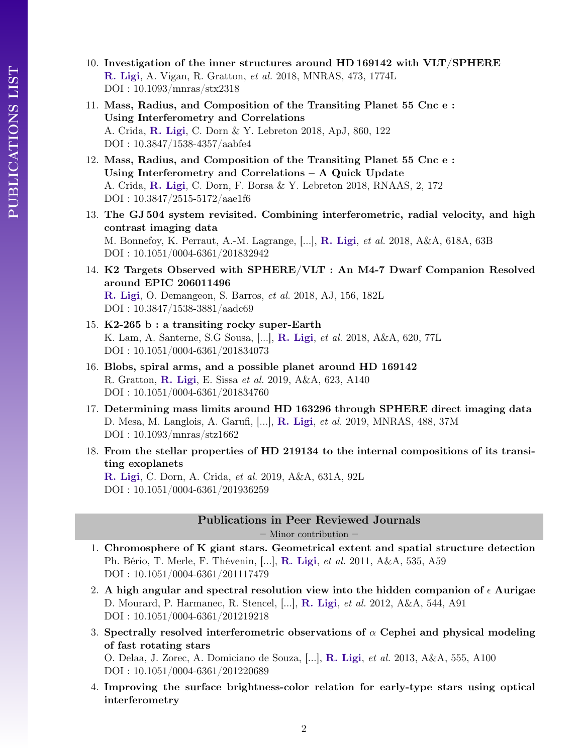- 10. Investigation of the inner structures around HD 169142 with VLT/SPHERE R. Ligi, A. Vigan, R. Gratton, et al. 2018, MNRAS, 473, 1774L DOI : 10.1093/mnras/stx2318
- 11. Mass, Radius, and Composition of the Transiting Planet 55 Cnc e : Using Interferometry and Correlations A. Crida, R. Ligi, C. Dorn & Y. Lebreton 2018, ApJ, 860, 122 DOI : 10.3847/1538-4357/aabfe4
- 12. Mass, Radius, and Composition of the Transiting Planet 55 Cnc e : Using Interferometry and Correlations – A Quick Update A. Crida, R. Ligi, C. Dorn, F. Borsa & Y. Lebreton 2018, RNAAS, 2, 172 DOI : 10.3847/2515-5172/aae1f6
- 13. The GJ 504 system revisited. Combining interferometric, radial velocity, and high contrast imaging data M. Bonnefoy, K. Perraut, A.-M. Lagrange, [...], R. Ligi, et al. 2018, A&A, 618A, 63B DOI : 10.1051/0004-6361/201832942
- 14. K2 Targets Observed with SPHERE/VLT : An M4-7 Dwarf Companion Resolved around EPIC 206011496 R. Ligi, O. Demangeon, S. Barros, et al. 2018, AJ, 156, 182L DOI : 10.3847/1538-3881/aadc69
- 15. K2-265 b : a transiting rocky super-Earth K. Lam, A. Santerne, S.G Sousa, [...], R. Ligi, et al. 2018, A&A, 620, 77L DOI : 10.1051/0004-6361/201834073
- 16. Blobs, spiral arms, and a possible planet around HD 169142 R. Gratton, R. Ligi, E. Sissa et al. 2019, A&A, 623, A140 DOI : 10.1051/0004-6361/201834760
- 17. Determining mass limits around HD 163296 through SPHERE direct imaging data D. Mesa, M. Langlois, A. Garufi, [...], R. Ligi, et al. 2019, MNRAS, 488, 37M DOI : 10.1093/mnras/stz1662
- 18. From the stellar properties of HD 219134 to the internal compositions of its transiting exoplanets

R. Ligi, C. Dorn, A. Crida, et al. 2019, A&A, 631A, 92L DOI : 10.1051/0004-6361/201936259

# Publications in Peer Reviewed Journals

– Minor contribution –

- 1. Chromosphere of K giant stars. Geometrical extent and spatial structure detection Ph. Bério, T. Merle, F. Thévenin, [...], R. Ligi, et al. 2011, A&A, 535, A59 DOI : 10.1051/0004-6361/201117479
- 2. A high angular and spectral resolution view into the hidden companion of  $\epsilon$  Aurigae D. Mourard, P. Harmanec, R. Stencel, [...], R. Ligi, et al. 2012, A&A, 544, A91 DOI : 10.1051/0004-6361/201219218
- 3. Spectrally resolved interferometric observations of  $\alpha$  Cephei and physical modeling of fast rotating stars

O. Delaa, J. Zorec, A. Domiciano de Souza, [...], R. Ligi, et al. 2013, A&A, 555, A100 DOI : 10.1051/0004-6361/201220689

4. Improving the surface brightness-color relation for early-type stars using optical interferometry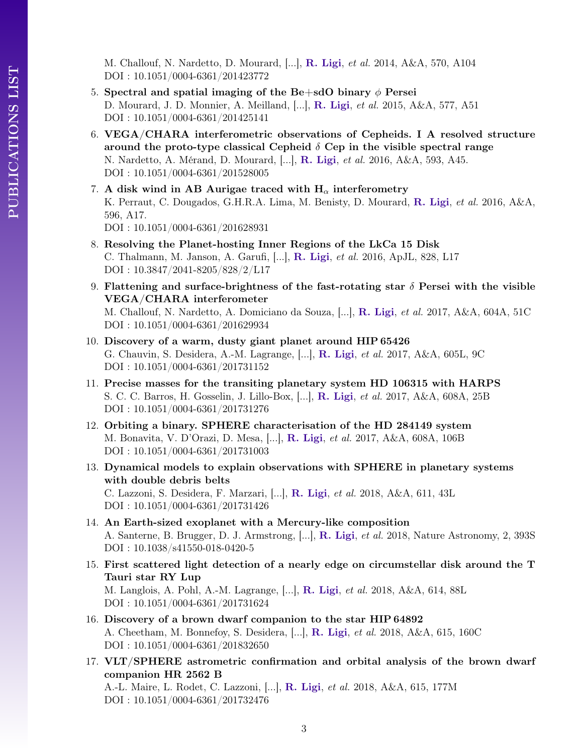M. Challouf, N. Nardetto, D. Mourard, [...], R. Ligi, et al. 2014, A&A, 570, A104 DOI : 10.1051/0004-6361/201423772

- 5. Spectral and spatial imaging of the Be+sdO binary  $\phi$  Persei D. Mourard, J. D. Monnier, A. Meilland, [...], R. Ligi, et al. 2015, A&A, 577, A51 DOI : 10.1051/0004-6361/201425141
- 6. VEGA/CHARA interferometric observations of Cepheids. I A resolved structure around the proto-type classical Cepheid  $\delta$  Cep in the visible spectral range N. Nardetto, A. Mérand, D. Mourard, [...], R. Ligi, et al. 2016, A&A, 593, A45. DOI : 10.1051/0004-6361/201528005
- 7. A disk wind in AB Aurigae traced with  $H_{\alpha}$  interferometry K. Perraut, C. Dougados, G.H.R.A. Lima, M. Benisty, D. Mourard, R. Ligi, et al. 2016, A&A, 596, A17. DOI : 10.1051/0004-6361/201628931
- 8. Resolving the Planet-hosting Inner Regions of the LkCa 15 Disk C. Thalmann, M. Janson, A. Garufi, [...], R. Ligi, et al. 2016, ApJL, 828, L17 DOI : 10.3847/2041-8205/828/2/L17
- 9. Flattening and surface-brightness of the fast-rotating star  $\delta$  Persei with the visible VEGA/CHARA interferometer

- 10. Discovery of a warm, dusty giant planet around HIP 65426 G. Chauvin, S. Desidera, A.-M. Lagrange, [...], R. Ligi, et al. 2017, A&A, 605L, 9C DOI : 10.1051/0004-6361/201731152
- 11. Precise masses for the transiting planetary system HD 106315 with HARPS S. C. C. Barros, H. Gosselin, J. Lillo-Box, [...], R. Ligi, et al. 2017, A&A, 608A, 25B DOI : 10.1051/0004-6361/201731276
- 12. Orbiting a binary. SPHERE characterisation of the HD 284149 system M. Bonavita, V. D'Orazi, D. Mesa, [...], R. Ligi, et al. 2017, A&A, 608A, 106B DOI : 10.1051/0004-6361/201731003
- 13. Dynamical models to explain observations with SPHERE in planetary systems with double debris belts C. Lazzoni, S. Desidera, F. Marzari, [...], R. Ligi, et al. 2018, A&A, 611, 43L DOI : 10.1051/0004-6361/201731426
- 14. An Earth-sized exoplanet with a Mercury-like composition A. Santerne, B. Brugger, D. J. Armstrong, [...], R. Ligi, et al. 2018, Nature Astronomy, 2, 393S DOI : 10.1038/s41550-018-0420-5
- 15. First scattered light detection of a nearly edge on circumstellar disk around the T Tauri star RY Lup M. Langlois, A. Pohl, A.-M. Lagrange, [...], R. Ligi, et al. 2018, A&A, 614, 88L DOI : 10.1051/0004-6361/201731624
- 16. Discovery of a brown dwarf companion to the star HIP 64892 A. Cheetham, M. Bonnefoy, S. Desidera, [...], R. Ligi, et al. 2018, A&A, 615, 160C DOI : 10.1051/0004-6361/201832650
- 17. VLT/SPHERE astrometric confirmation and orbital analysis of the brown dwarf companion HR 2562 B A.-L. Maire, L. Rodet, C. Lazzoni, [...], R. Ligi, et al. 2018, A&A, 615, 177M DOI : 10.1051/0004-6361/201732476

M. Challouf, N. Nardetto, A. Domiciano da Souza, [...], R. Ligi, et al. 2017, A&A, 604A, 51C DOI : 10.1051/0004-6361/201629934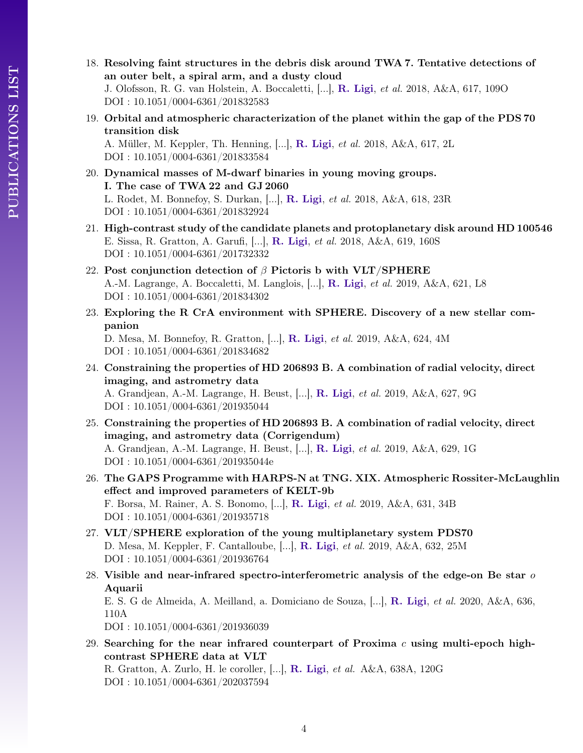- PUBLICATIONS LIST PUBLICATIONS LIST
- 18. Resolving faint structures in the debris disk around TWA 7. Tentative detections of an outer belt, a spiral arm, and a dusty cloud J. Olofsson, R. G. van Holstein, A. Boccaletti, [...], R. Ligi, et al. 2018, A&A, 617, 109O

DOI : 10.1051/0004-6361/201832583

19. Orbital and atmospheric characterization of the planet within the gap of the PDS 70 transition disk

A. Müller, M. Keppler, Th. Henning, [...], R. Ligi, et al. 2018, A&A, 617, 2L DOI : 10.1051/0004-6361/201833584

- 20. Dynamical masses of M-dwarf binaries in young moving groups. I. The case of TWA 22 and GJ 2060 L. Rodet, M. Bonnefoy, S. Durkan, [...], R. Ligi, et al. 2018, A&A, 618, 23R DOI : 10.1051/0004-6361/201832924
- 21. High-contrast study of the candidate planets and protoplanetary disk around HD 100546 E. Sissa, R. Gratton, A. Garufi, [...], R. Ligi, et al. 2018, A&A, 619, 160S DOI : 10.1051/0004-6361/201732332
- 22. Post conjunction detection of  $\beta$  Pictoris b with VLT/SPHERE A.-M. Lagrange, A. Boccaletti, M. Langlois, [...], R. Ligi, et al. 2019, A&A, 621, L8 DOI : 10.1051/0004-6361/201834302
- 23. Exploring the R CrA environment with SPHERE. Discovery of a new stellar companion

D. Mesa, M. Bonnefoy, R. Gratton, [...], R. Ligi, et al. 2019, A&A, 624, 4M DOI : 10.1051/0004-6361/201834682

- 24. Constraining the properties of HD 206893 B. A combination of radial velocity, direct imaging, and astrometry data A. Grandjean, A.-M. Lagrange, H. Beust, [...], R. Ligi, et al. 2019, A&A, 627, 9G DOI : 10.1051/0004-6361/201935044
- 25. Constraining the properties of HD 206893 B. A combination of radial velocity, direct imaging, and astrometry data (Corrigendum) A. Grandjean, A.-M. Lagrange, H. Beust, [...], R. Ligi, et al. 2019, A&A, 629, 1G DOI : 10.1051/0004-6361/201935044e
- 26. The GAPS Programme with HARPS-N at TNG. XIX. Atmospheric Rossiter-McLaughlin effect and improved parameters of KELT-9b F. Borsa, M. Rainer, A. S. Bonomo, [...], R. Ligi, et al. 2019, A&A, 631, 34B DOI : 10.1051/0004-6361/201935718
- 27. VLT/SPHERE exploration of the young multiplanetary system PDS70 D. Mesa, M. Keppler, F. Cantalloube, [...], R. Ligi, et al. 2019, A&A, 632, 25M DOI : 10.1051/0004-6361/201936764
- 28. Visible and near-infrared spectro-interferometric analysis of the edge-on Be star  $o$ Aquarii E. S. G de Almeida, A. Meilland, a. Domiciano de Souza, [...], R. Ligi, et al. 2020, A&A, 636, 110A DOI : 10.1051/0004-6361/201936039
- 29. Searching for the near infrared counterpart of Proxima  $c$  using multi-epoch highcontrast SPHERE data at VLT R. Gratton, A. Zurlo, H. le coroller, [...], R. Ligi, et al. A&A, 638A, 120G DOI : 10.1051/0004-6361/202037594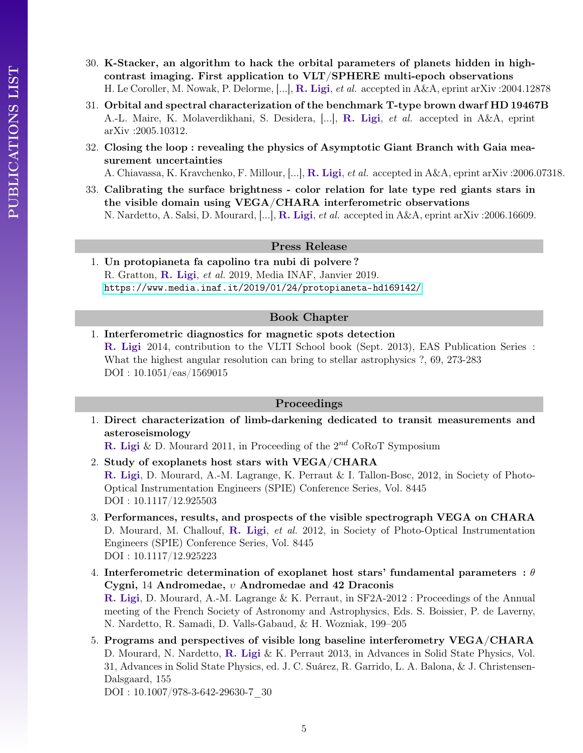- 30. K-Stacker, an algorithm to hack the orbital parameters of planets hidden in highcontrast imaging. First application to VLT/SPHERE multi-epoch observations H. Le Coroller, M. Nowak, P. Delorme, [...], R. Ligi, et al. accepted in A&A, eprint arXiv :2004.12878
- 31. Orbital and spectral characterization of the benchmark T-type brown dwarf HD 19467B A.-L. Maire, K. Molaverdikhani, S. Desidera, [...], R. Ligi, et al. accepted in A&A, eprint arXiv :2005.10312.
- 32. Closing the loop : revealing the physics of Asymptotic Giant Branch with Gaia measurement uncertainties

A. Chiavassa, K. Kravchenko, F. Millour, [...], R. Ligi, et al. accepted in A&A, eprint arXiv :2006.07318.

33. Calibrating the surface brightness - color relation for late type red giants stars in the visible domain using VEGA/CHARA interferometric observations N. Nardetto, A. Salsi, D. Mourard, [...], R. Ligi, et al. accepted in A&A, eprint arXiv :2006.16609.

### Press Release

1. Un protopianeta fa capolino tra nubi di polvere ? R. Gratton, R. Ligi, et al. 2019, Media INAF, Janvier 2019. <https://www.media.inaf.it/2019/01/24/protopianeta-hd169142/>

## Book Chapter

1. Interferometric diagnostics for magnetic spots detection R. Ligi 2014, contribution to the VLTI School book (Sept. 2013), EAS Publication Series : What the highest angular resolution can bring to stellar astrophysics ?, 69, 273-283 DOI : 10.1051/eas/1569015

## Proceedings

1. Direct characterization of limb-darkening dedicated to transit measurements and asteroseismology

**R.** Ligi & D. Mourard 2011, in Proceeding of the  $2^{nd}$  CoRoT Symposium

- 2. Study of exoplanets host stars with VEGA/CHARA R. Ligi, D. Mourard, A.-M. Lagrange, K. Perraut & I. Tallon-Bosc, 2012, in Society of Photo-Optical Instrumentation Engineers (SPIE) Conference Series, Vol. 8445 DOI : 10.1117/12.925503
- 3. Performances, results, and prospects of the visible spectrograph VEGA on CHARA D. Mourard, M. Challouf, R. Ligi, *et al.* 2012, in Society of Photo-Optical Instrumentation Engineers (SPIE) Conference Series, Vol. 8445 DOI : 10.1117/12.925223
- 4. Interferometric determination of exoplanet host stars' fundamental parameters :  $\theta$ Cygni, 14 Andromedae, υ Andromedae and 42 Draconis R. Ligi, D. Mourard, A.-M. Lagrange & K. Perraut, in SF2A-2012 : Proceedings of the Annual meeting of the French Society of Astronomy and Astrophysics, Eds. S. Boissier, P. de Laverny, N. Nardetto, R. Samadi, D. Valls-Gabaud, & H. Wozniak, 199–205
- 5. Programs and perspectives of visible long baseline interferometry VEGA/CHARA D. Mourard, N. Nardetto, R. Ligi & K. Perraut 2013, in Advances in Solid State Physics, Vol. 31, Advances in Solid State Physics, ed. J. C. Suárez, R. Garrido, L. A. Balona, & J. Christensen-Dalsgaard, 155 DOI : 10.1007/978-3-642-29630-7\_30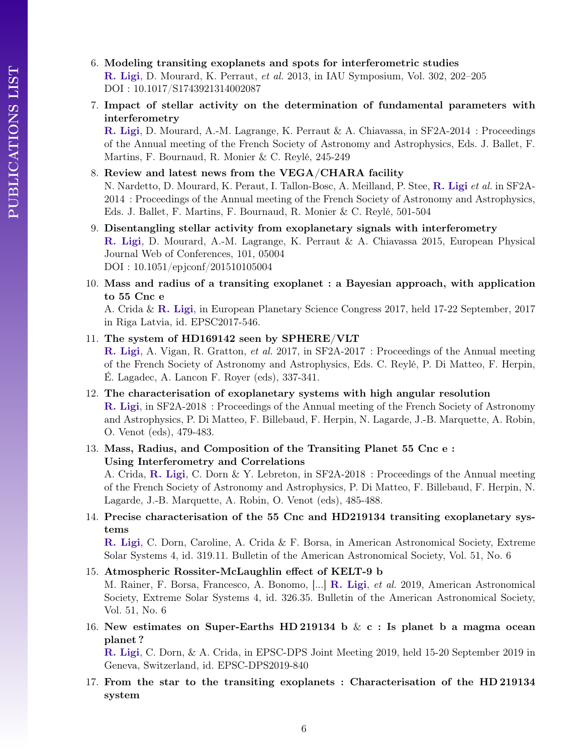- 6. Modeling transiting exoplanets and spots for interferometric studies R. Ligi, D. Mourard, K. Perraut, et al. 2013, in IAU Symposium, Vol. 302, 202–205 DOI : 10.1017/S1743921314002087
- 7. Impact of stellar activity on the determination of fundamental parameters with interferometry

R. Ligi, D. Mourard, A.-M. Lagrange, K. Perraut & A. Chiavassa, in SF2A-2014 : Proceedings of the Annual meeting of the French Society of Astronomy and Astrophysics, Eds. J. Ballet, F. Martins, F. Bournaud, R. Monier & C. Reylé, 245-249

- 8. Review and latest news from the VEGA/CHARA facility N. Nardetto, D. Mourard, K. Peraut, I. Tallon-Bosc, A. Meilland, P. Stee, R. Ligi et al. in SF2A-2014 : Proceedings of the Annual meeting of the French Society of Astronomy and Astrophysics, Eds. J. Ballet, F. Martins, F. Bournaud, R. Monier & C. Reylé, 501-504
- 9. Disentangling stellar activity from exoplanetary signals with interferometry R. Ligi, D. Mourard, A.-M. Lagrange, K. Perraut & A. Chiavassa 2015, European Physical Journal Web of Conferences, 101, 05004 DOI : 10.1051/epjconf/201510105004
- 10. Mass and radius of a transiting exoplanet : a Bayesian approach, with application to 55 Cnc e

A. Crida & R. Ligi, in European Planetary Science Congress 2017, held 17-22 September, 2017 in Riga Latvia, id. EPSC2017-546.

### 11. The system of HD169142 seen by SPHERE/VLT

R. Ligi, A. Vigan, R. Gratton, et al. 2017, in SF2A-2017 : Proceedings of the Annual meeting of the French Society of Astronomy and Astrophysics, Eds. C. Reylé, P. Di Matteo, F. Herpin, É. Lagadec, A. Lancon F. Royer (eds), 337-341.

- 12. The characterisation of exoplanetary systems with high angular resolution R. Ligi, in SF2A-2018 : Proceedings of the Annual meeting of the French Society of Astronomy and Astrophysics, P. Di Matteo, F. Billebaud, F. Herpin, N. Lagarde, J.-B. Marquette, A. Robin, O. Venot (eds), 479-483.
- 13. Mass, Radius, and Composition of the Transiting Planet 55 Cnc e : Using Interferometry and Correlations

A. Crida, R. Ligi, C. Dorn & Y. Lebreton, in SF2A-2018 : Proceedings of the Annual meeting of the French Society of Astronomy and Astrophysics, P. Di Matteo, F. Billebaud, F. Herpin, N. Lagarde, J.-B. Marquette, A. Robin, O. Venot (eds), 485-488.

14. Precise characterisation of the 55 Cnc and HD219134 transiting exoplanetary systems

R. Ligi, C. Dorn, Caroline, A. Crida & F. Borsa, in American Astronomical Society, Extreme Solar Systems 4, id. 319.11. Bulletin of the American Astronomical Society, Vol. 51, No. 6

#### 15. Atmospheric Rossiter-McLaughlin effect of KELT-9 b

M. Rainer, F. Borsa, Francesco, A. Bonomo, [...] R. Ligi, et al. 2019, American Astronomical Society, Extreme Solar Systems 4, id. 326.35. Bulletin of the American Astronomical Society, Vol. 51, No. 6

16. New estimates on Super-Earths HD 219134 b  $\& c :$  Is planet b a magma ocean planet ?

R. Ligi, C. Dorn, & A. Crida, in EPSC-DPS Joint Meeting 2019, held 15-20 September 2019 in Geneva, Switzerland, id. EPSC-DPS2019-840

17. From the star to the transiting exoplanets : Characterisation of the HD 219134 system